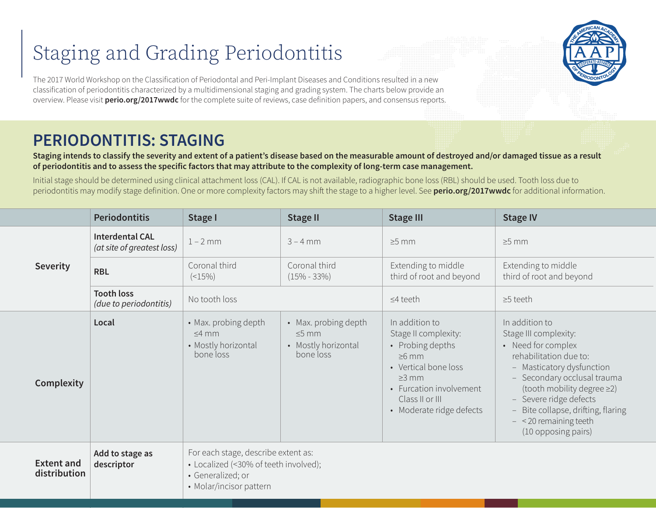## Staging and Grading Periodontitis

The 2017 World Workshop on the Classification of Periodontal and Peri-Implant Diseases and Conditions resulted in a new classification of periodontitis characterized by a multidimensional staging and grading system. The charts below provide an overview. Please visit **perio.org/2017wwdc** for the complete suite of reviews, case definition papers, and consensus reports.

## **PERIODONTITIS: STAGING**

**Staging intends to classify the severity and extent of a patient's disease based on the measurable amount of destroyed and/or damaged tissue as a result of periodontitis and to assess the specific factors that may attribute to the complexity of long-term case management.** 

Initial stage should be determined using clinical attachment loss (CAL). If CAL is not available, radiographic bone loss (RBL) should be used. Tooth loss due to periodontitis may modify stage definition. One or more complexity factors may shift the stage to a higher level. See **perio.org/2017wwdc** for additional information.

|                                   | <b>Periodontitis</b>                                 | Stage I                                                                                                                      | <b>Stage II</b>                                                         | <b>Stage III</b>                                                                                                                                                                           | <b>Stage IV</b>                                                                                                                                                                                                                                                                                    |  |  |
|-----------------------------------|------------------------------------------------------|------------------------------------------------------------------------------------------------------------------------------|-------------------------------------------------------------------------|--------------------------------------------------------------------------------------------------------------------------------------------------------------------------------------------|----------------------------------------------------------------------------------------------------------------------------------------------------------------------------------------------------------------------------------------------------------------------------------------------------|--|--|
| <b>Severity</b>                   | <b>Interdental CAL</b><br>(at site of greatest loss) | $1 - 2$ mm                                                                                                                   | $3 - 4$ mm                                                              | $\geq$ 5 mm                                                                                                                                                                                | $\geq$ 5 mm                                                                                                                                                                                                                                                                                        |  |  |
|                                   | <b>RBL</b>                                           | Coronal third<br>$($ < 15%)                                                                                                  | Coronal third<br>$(15\% - 33\%)$                                        | Extending to middle<br>third of root and beyond                                                                                                                                            | Extending to middle<br>third of root and beyond                                                                                                                                                                                                                                                    |  |  |
|                                   | <b>Tooth loss</b><br>(due to periodontitis)          | No tooth loss                                                                                                                |                                                                         | $\leq$ 4 teeth                                                                                                                                                                             | $\geq$ 5 teeth                                                                                                                                                                                                                                                                                     |  |  |
| Complexity                        | Local                                                | • Max. probing depth<br>$\leq$ 4 mm<br>• Mostly horizontal<br>bone loss                                                      | • Max. probing depth<br>$\leq$ 5 mm<br>• Mostly horizontal<br>bone loss | In addition to<br>Stage II complexity:<br>• Probing depths<br>$\geq 6$ mm<br>• Vertical bone loss<br>$\geq$ 3 mm<br>• Furcation involvement<br>Class II or III<br>• Moderate ridge defects | In addition to<br>Stage III complexity:<br>• Need for complex<br>rehabilitation due to:<br>- Masticatory dysfunction<br>- Secondary occlusal trauma<br>(tooth mobility degree ≥2)<br>- Severe ridge defects<br>Bite collapse, drifting, flaring<br>$- <$ 20 remaining teeth<br>(10 opposing pairs) |  |  |
| <b>Extent and</b><br>distribution | Add to stage as<br>descriptor                        | For each stage, describe extent as:<br>• Localized (<30% of teeth involved);<br>· Generalized; or<br>• Molar/incisor pattern |                                                                         |                                                                                                                                                                                            |                                                                                                                                                                                                                                                                                                    |  |  |